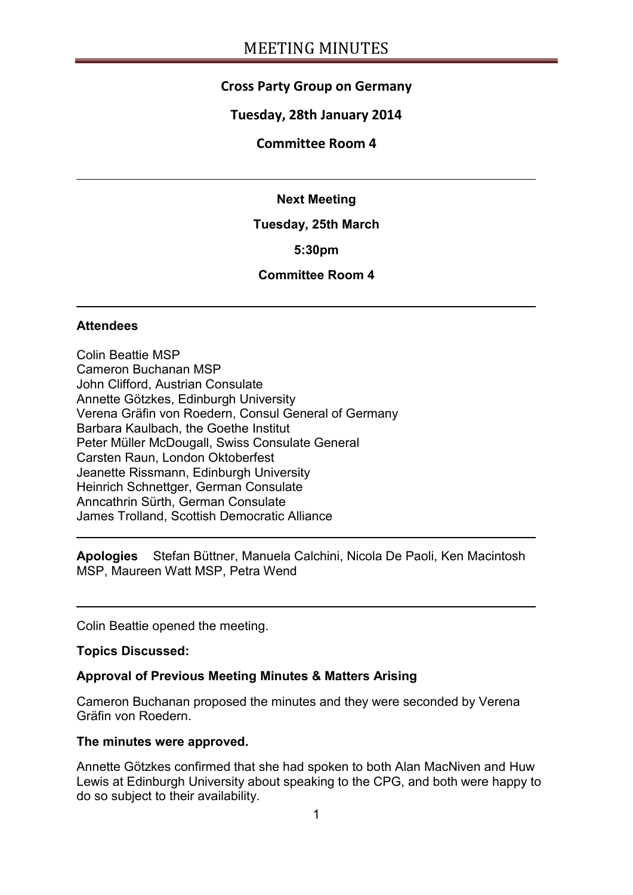# **Cross Party Group on Germany**

## **Tuesday, 28th January 2014**

#### **Committee Room 4**

#### **Next Meeting**

#### **Tuesday, 25th March**

#### **5:30pm**

## **Committee Room 4**

#### **Attendees**

Colin Beattie MSP Cameron Buchanan MSP John Clifford, Austrian Consulate Annette Götzkes, Edinburgh University Verena Gräfin von Roedern, Consul General of Germany Barbara Kaulbach, the Goethe Institut Peter Müller McDougall, Swiss Consulate General Carsten Raun, London Oktoberfest Jeanette Rissmann, Edinburgh University Heinrich Schnettger, German Consulate Anncathrin Sürth, German Consulate James Trolland, Scottish Democratic Alliance

**Apologies** Stefan Büttner, Manuela Calchini, Nicola De Paoli, Ken Macintosh MSP, Maureen Watt MSP, Petra Wend

Colin Beattie opened the meeting.

#### **Topics Discussed:**

#### **Approval of Previous Meeting Minutes & Matters Arising**

Cameron Buchanan proposed the minutes and they were seconded by Verena Gräfin von Roedern.

#### **The minutes were approved.**

Annette Götzkes confirmed that she had spoken to both Alan MacNiven and Huw Lewis at Edinburgh University about speaking to the CPG, and both were happy to do so subject to their availability.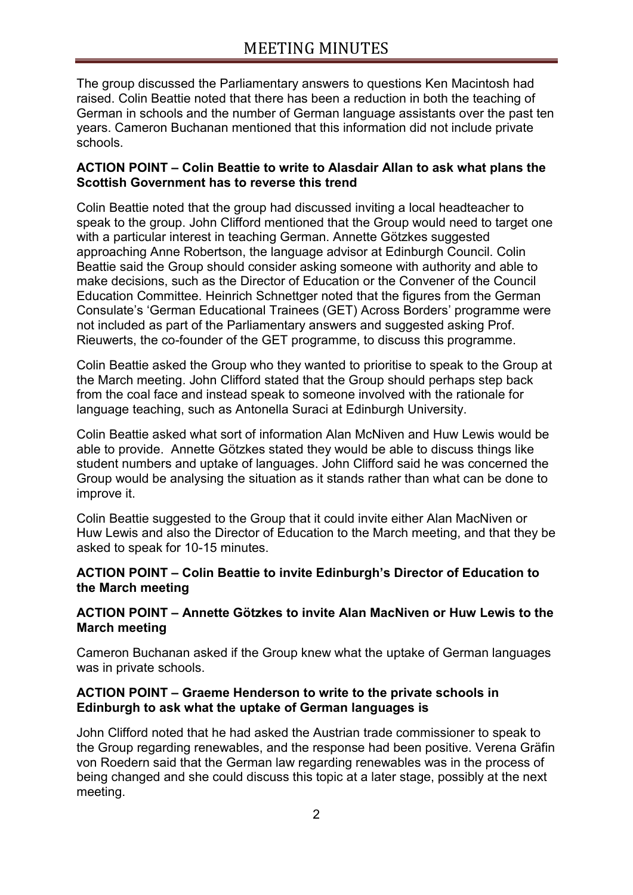The group discussed the Parliamentary answers to questions Ken Macintosh had raised. Colin Beattie noted that there has been a reduction in both the teaching of German in schools and the number of German language assistants over the past ten years. Cameron Buchanan mentioned that this information did not include private schools.

## **ACTION POINT – Colin Beattie to write to Alasdair Allan to ask what plans the Scottish Government has to reverse this trend**

Colin Beattie noted that the group had discussed inviting a local headteacher to speak to the group. John Clifford mentioned that the Group would need to target one with a particular interest in teaching German. Annette Götzkes suggested approaching Anne Robertson, the language advisor at Edinburgh Council. Colin Beattie said the Group should consider asking someone with authority and able to make decisions, such as the Director of Education or the Convener of the Council Education Committee. Heinrich Schnettger noted that the figures from the German Consulate's 'German Educational Trainees (GET) Across Borders' programme were not included as part of the Parliamentary answers and suggested asking Prof. Rieuwerts, the co-founder of the GET programme, to discuss this programme.

Colin Beattie asked the Group who they wanted to prioritise to speak to the Group at the March meeting. John Clifford stated that the Group should perhaps step back from the coal face and instead speak to someone involved with the rationale for language teaching, such as Antonella Suraci at Edinburgh University.

Colin Beattie asked what sort of information Alan McNiven and Huw Lewis would be able to provide. Annette Götzkes stated they would be able to discuss things like student numbers and uptake of languages. John Clifford said he was concerned the Group would be analysing the situation as it stands rather than what can be done to improve it.

Colin Beattie suggested to the Group that it could invite either Alan MacNiven or Huw Lewis and also the Director of Education to the March meeting, and that they be asked to speak for 10-15 minutes.

#### **ACTION POINT – Colin Beattie to invite Edinburgh's Director of Education to the March meeting**

#### **ACTION POINT – Annette Götzkes to invite Alan MacNiven or Huw Lewis to the March meeting**

Cameron Buchanan asked if the Group knew what the uptake of German languages was in private schools.

#### **ACTION POINT – Graeme Henderson to write to the private schools in Edinburgh to ask what the uptake of German languages is**

John Clifford noted that he had asked the Austrian trade commissioner to speak to the Group regarding renewables, and the response had been positive. Verena Gräfin von Roedern said that the German law regarding renewables was in the process of being changed and she could discuss this topic at a later stage, possibly at the next meeting.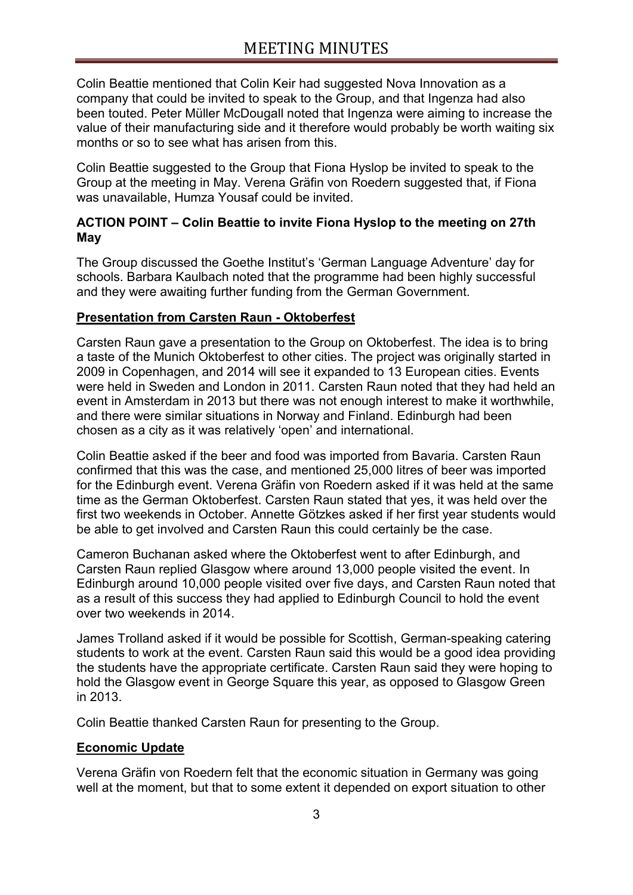Colin Beattie mentioned that Colin Keir had suggested Nova Innovation as a company that could be invited to speak to the Group, and that Ingenza had also been touted. Peter Müller McDougall noted that Ingenza were aiming to increase the value of their manufacturing side and it therefore would probably be worth waiting six months or so to see what has arisen from this.

Colin Beattie suggested to the Group that Fiona Hyslop be invited to speak to the Group at the meeting in May. Verena Gräfin von Roedern suggested that, if Fiona was unavailable, Humza Yousaf could be invited.

# **ACTION POINT – Colin Beattie to invite Fiona Hyslop to the meeting on 27th May**

The Group discussed the Goethe Institut's 'German Language Adventure' day for schools. Barbara Kaulbach noted that the programme had been highly successful and they were awaiting further funding from the German Government.

## **Presentation from Carsten Raun - Oktoberfest**

Carsten Raun gave a presentation to the Group on Oktoberfest. The idea is to bring a taste of the Munich Oktoberfest to other cities. The project was originally started in 2009 in Copenhagen, and 2014 will see it expanded to 13 European cities. Events were held in Sweden and London in 2011. Carsten Raun noted that they had held an event in Amsterdam in 2013 but there was not enough interest to make it worthwhile, and there were similar situations in Norway and Finland. Edinburgh had been chosen as a city as it was relatively 'open' and international.

Colin Beattie asked if the beer and food was imported from Bavaria. Carsten Raun confirmed that this was the case, and mentioned 25,000 litres of beer was imported for the Edinburgh event. Verena Gräfin von Roedern asked if it was held at the same time as the German Oktoberfest. Carsten Raun stated that yes, it was held over the first two weekends in October. Annette Götzkes asked if her first year students would be able to get involved and Carsten Raun this could certainly be the case.

Cameron Buchanan asked where the Oktoberfest went to after Edinburgh, and Carsten Raun replied Glasgow where around 13,000 people visited the event. In Edinburgh around 10,000 people visited over five days, and Carsten Raun noted that as a result of this success they had applied to Edinburgh Council to hold the event over two weekends in 2014.

James Trolland asked if it would be possible for Scottish, German-speaking catering students to work at the event. Carsten Raun said this would be a good idea providing the students have the appropriate certificate. Carsten Raun said they were hoping to hold the Glasgow event in George Square this year, as opposed to Glasgow Green in 2013.

Colin Beattie thanked Carsten Raun for presenting to the Group.

## **Economic Update**

Verena Gräfin von Roedern felt that the economic situation in Germany was going well at the moment, but that to some extent it depended on export situation to other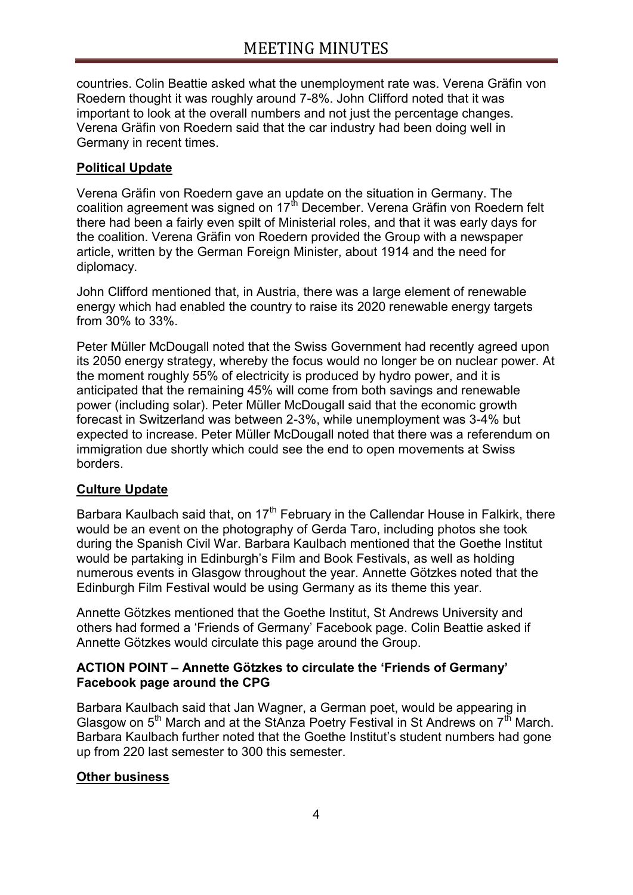countries. Colin Beattie asked what the unemployment rate was. Verena Gräfin von Roedern thought it was roughly around 7-8%. John Clifford noted that it was important to look at the overall numbers and not just the percentage changes. Verena Gräfin von Roedern said that the car industry had been doing well in Germany in recent times.

# **Political Update**

Verena Gräfin von Roedern gave an update on the situation in Germany. The coalition agreement was signed on  $17<sup>th</sup>$  December. Verena Gräfin von Roedern felt there had been a fairly even spilt of Ministerial roles, and that it was early days for the coalition. Verena Gräfin von Roedern provided the Group with a newspaper article, written by the German Foreign Minister, about 1914 and the need for diplomacy.

John Clifford mentioned that, in Austria, there was a large element of renewable energy which had enabled the country to raise its 2020 renewable energy targets from 30% to 33%.

Peter Müller McDougall noted that the Swiss Government had recently agreed upon its 2050 energy strategy, whereby the focus would no longer be on nuclear power. At the moment roughly 55% of electricity is produced by hydro power, and it is anticipated that the remaining 45% will come from both savings and renewable power (including solar). Peter Müller McDougall said that the economic growth forecast in Switzerland was between 2-3%, while unemployment was 3-4% but expected to increase. Peter Müller McDougall noted that there was a referendum on immigration due shortly which could see the end to open movements at Swiss borders.

# **Culture Update**

Barbara Kaulbach said that, on  $17<sup>th</sup>$  February in the Callendar House in Falkirk, there would be an event on the photography of Gerda Taro, including photos she took during the Spanish Civil War. Barbara Kaulbach mentioned that the Goethe Institut would be partaking in Edinburgh's Film and Book Festivals, as well as holding numerous events in Glasgow throughout the year. Annette Götzkes noted that the Edinburgh Film Festival would be using Germany as its theme this year.

Annette Götzkes mentioned that the Goethe Institut, St Andrews University and others had formed a 'Friends of Germany' Facebook page. Colin Beattie asked if Annette Götzkes would circulate this page around the Group.

## **ACTION POINT – Annette Götzkes to circulate the 'Friends of Germany' Facebook page around the CPG**

Barbara Kaulbach said that Jan Wagner, a German poet, would be appearing in Glasgow on  $5<sup>th</sup>$  March and at the StAnza Poetry Festival in St Andrews on  $7<sup>th</sup>$  March. Barbara Kaulbach further noted that the Goethe Institut's student numbers had gone up from 220 last semester to 300 this semester.

# **Other business**